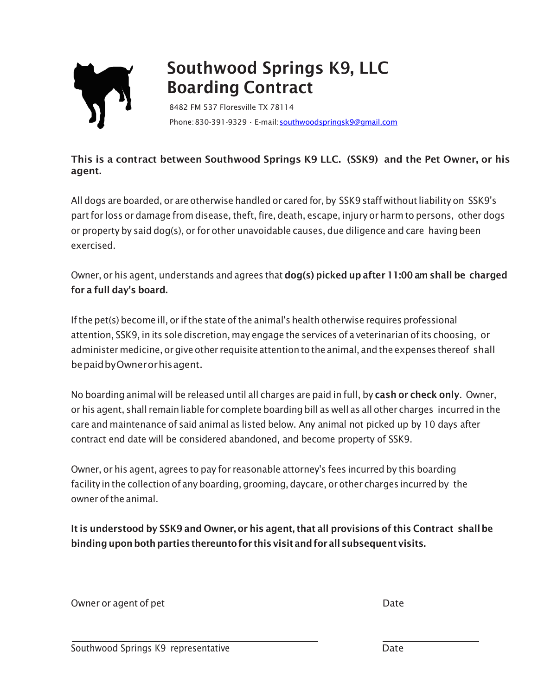

## Southwood Springs K9, LLC Boarding Contract

8482 FM 537 Floresville TX 78114 Phone:830-391-9329 • E-mail[:southwoodspringsk9@gmail.com](mailto:southwoodspringsk9@gmail.com)

## This is a contract between Southwood Springs K9 LLC. (SSK9) and the Pet Owner, or his agent.

All dogs are boarded, or are otherwise handled or cared for, by SSK9 staff without liability on SSK9's partfor loss or damage from disease, theft, fire, death, escape, injury or harm to persons, other dogs or property by said dog(s), or for other unavoidable causes, due diligence and care havingbeen exercised.

Owner, or his agent, understands and agrees that dog(s) picked up after 11:00 am shall be charged for a full day's board.

Ifthe pet(s) become ill, or ifthe state ofthe animal's health otherwise requires professional attention, SSK9, in its sole discretion, may engage the services of a veterinarian ofits choosing, or administer medicine, or give other requisite attentionto the animal, andthe expenses thereof shall bepaidbyOwnerorhisagent.

No boarding animal will be released until all charges are paid in full, by cash or check only. Owner, or his agent, shall remain liable for complete boarding bill as well as all other charges incurred in the care and maintenance of said animal as listed below. Any animal not picked up by 10 days after contract end date will be considered abandoned, and become property of SSK9.

Owner, or his agent, agrees to pay for reasonable attorney's fees incurred by this boarding facility in the collection of any boarding, grooming, daycare, or other charges incurred by the owner ofthe animal.

It is understood by SSK9 and Owner, or his agent, that all provisions of this Contract shallbe binding upon both parties thereunto for this visit and for all subsequent visits.

Owner or agent of pet **Date**